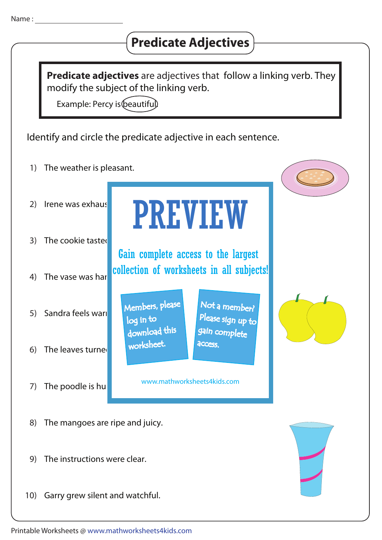